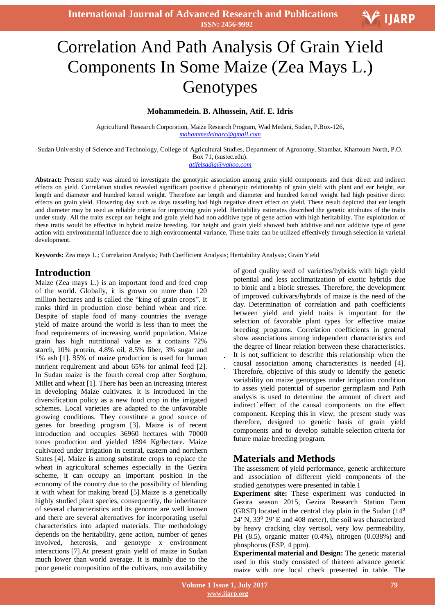**International Journal of Advanced Research and Publications ISSN: 2456-9992**

# Correlation And Path Analysis Of Grain Yield Components In Some Maize (Zea Mays L.) Genotypes

#### **Mohammedein. B. Alhussein, Atif. E. Idris**

Agricultural Research Corporation, Maize Research Program, Wad Medani, Sudan, P.Box-126, *mohammedeinarc@gmail.com*

Sudan University of Science and Technology, College of Agricultural Studies, Department of Agronomy, Shambat, Khartoum North, P.O. Box 71, (sustec.edu).

#### *atifelsadig@yahoo.com*

**Abstract:** Present study was aimed to investigate the genotypic association among grain yield components and their direct and indirect effects on yield. Correlation studies revealed significant positive d phenotypic relationship of grain yield with plant and ear height, ear length and diameter and hundred kernel weight. Therefore ear length and diameter and hundred kernel weight had high positive direct effects on grain yield. Flowering day such as days tasseling had high negative direct effect on yield. These result depicted that ear length and diameter may be used as reliable criteria for improving grain yield. Heritability estimates described the genetic attributes of the traits under study. All the traits except ear height and grain yield had non additive type of gene action with high heritability. The exploitation of these traits would be effective in hybrid maize breeding. Ear height and grain yield showed both additive and non additive type of gene action with environmental influence due to high environmental variance. These traits can be utilized effectively through selection in varietal development.

**Keywords:** Zea mays L.; Correlation Analysis; Path Coefficient Analysis; Heritability Analysis; Grain Yield

## **Introduction**

Maize (Zea mays L.) is an important food and feed crop of the world. Globally, it is grown on more than 120 million hectares and is called the "king of grain crops". It ranks third in production close behind wheat and rice. Despite of staple food of many countries the average yield of maize around the world is less than to meet the food requirements of increasing world population. Maize grain has high nutritional value as it contains 72% starch, 10% protein, 4.8% oil, 8.5% fiber, 3% sugar and 1% ash [1]. 35% of maize production is used for human nutrient requirement and about 65% for animal feed [2]. In Sudan maize is the fourth cereal crop after Sorghum, Millet and wheat [1]. There has been an increasing interest in developing Maize cultivates. It is introduced in the diversification policy as a new food crop in the irrigated schemes. Local varieties are adapted to the unfavorable growing conditions. They constitute a good source of genes for breeding program [3]. Maize is of recent introduction and occupies 36960 hectares with 70000 tones production and yielded 1894 Kg/hectare. Maize cultivated under irrigation in central, eastern and northern States [4]. Maize is among substitute crops to replace the wheat in agricultural schemes especially in the Gezira scheme, it can occupy an important position in the economy of the country due to the possibility of blending it with wheat for making bread [5].Maize is a genetically highly studied plant species, consequently, the inheritance of several characteristics and its genome are well known and there are several alternatives for incorporating useful characteristics into adapted materials. The methodology depends on the heritability, gene action, number of genes involved, heterosis, and genotype x environment interactions [7].At present grain yield of maize in Sudan much lower than world average. It is mainly due to the poor genetic composition of the cultivars, non availability

of good quality seed of varieties/hybrids with high yield potential and less acclimatization of exotic hybrids due to biotic and a biotic stresses. Therefore, the development of improved cultivars/hybrids of maize is the need of the day. Determination of correlation and path coefficients between yield and yield traits is important for the selection of favorable plant types for effective maize breeding programs. Correlation coefficients in general show associations among independent characteristics and the degree of linear relation between these characteristics. It is not sufficient to describe this relationship when the

causal association among characteristics is needed [4]. Therefore, objective of this study to identify the genetic variability on maize genotypes under irrigation condition to asses yield potential of superior germplasm and Path analysis is used to determine the amount of direct and indirect effect of the causal components on the effect component. Keeping this in view, the present study was therefore, designed to genetic basis of grain yield components and to develop suitable selection criteria for future maize breeding program.

## **Materials and Methods**

The assessment of yield performance, genetic architecture and association of different yield components of the studied genotypes were presented in table.1

**Experiment site:** These experiment was conducted in Gezira season 2015, Gezira Research Station Farm (GRSF) located in the central clay plain in the Sudan (14⁰ 24′ N, 33⁰ 29′ E and 408 meter), the soil was characterized by heavy cracking clay vertisol, very low permeability, PH (8.5), organic matter (0.4%), nitrogen (0.038%) and phosphorus (ESP, 4 ppm).

**Experimental material and Design:** The genetic material used in this study consisted of thirteen advance genetic maize with one local check presented in table. The

V IJARP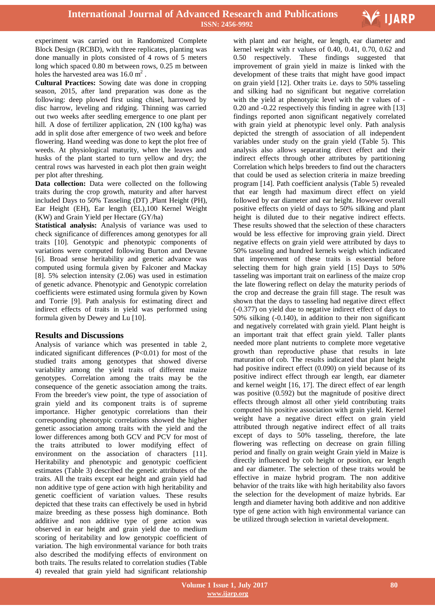

experiment was carried out in Randomized Complete Block Design (RCBD), with three replicates, planting was done manually in plots consisted of 4 rows of 5 meters long which spaced 0.80 m between rows, 0.25 m between holes the harvested area was  $16.0 \text{ m}^2$ .

**Cultural Practices:** Sowing date was done in cropping season, 2015, after land preparation was done as the following: deep plowed first using chisel, harrowed by disc harrow, leveling and ridging. Thinning was carried out two weeks after seedling emergence to one plant per hill. A dose of fertilizer application, 2N (100 kg/ha) was add in split dose after emergence of two week and before flowering. Hand weeding was done to kept the plot free of weeds. At physiological maturity, when the leaves and husks of the plant started to turn yellow and dry; the central rows was harvested in each plot then grain weight per plot after threshing.

**Data collection:** Data were collected on the following traits during the crop growth, maturity and after harvest included Days to 50% Tasseling (DT) ,Plant Height (PH), Ear Height (EH), Ear length (EL),100 Kernel Weight (KW) and Grain Yield per Hectare (GY/ha)

**Statistical analysis:** Analysis of variance was used to check significance of differences among genotypes for all traits [10]. Genotypic and phenotypic components of variations were computed following Burton and Devane [6]. Broad sense heritability and genetic advance was computed using formula given by Falconer and Mackay [8]. 5% selection intensity (2.06) was used in estimation of genetic advance. Phenotypic and Genotypic correlation coefficients were estimated using formula given by Kown and Torrie [9]. Path analysis for estimating direct and indirect effects of traits in yield was performed using formula given by Dewey and Lu [10].

### **Results and Discussions**

Analysis of variance which was presented in table 2, indicated significant differences  $(P<0.01)$  for most of the studied traits among genotypes that showed diverse variability among the yield traits of different maize genotypes. Correlation among the traits may be the consequence of the genetic association among the traits. From the breeder's view point, the type of association of grain yield and its component traits is of supreme importance. Higher genotypic correlations than their corresponding phenotypic correlations showed the higher genetic association among traits with the yield and the lower differences among both GCV and PCV for most of the traits attributed to lower modifying effect of environment on the association of characters [11]. Heritability and phenotypic and genotypic coefficient estimates (Table 3) described the genetic attributes of the traits. All the traits except ear height and grain yield had non additive type of gene action with high heritability and genetic coefficient of variation values. These results depicted that these traits can effectively be used in hybrid maize breeding as these possess high dominance. Both additive and non additive type of gene action was observed in ear height and grain yield due to medium scoring of heritability and low genotypic coefficient of variation. The high environmental variance for both traits also described the modifying effects of environment on both traits. The results related to correlation studies (Table 4) revealed that grain yield had significant relationship

 with plant and ear height, ear length, ear diameter and kernel weight with r values of 0.40, 0.41, 0.70, 0.62 and 0.50 respectively. These findings suggested that improvement of grain yield in maize is linked with the development of these traits that might have good impact on grain yield [12]. Other traits i.e. days to 50% tasseling and silking had no significant but negative correlation with the yield at phenotypic level with the r values of - 0.20 and -0.22 respectively this finding in agree with [13] findings reported anon significant negatively correlated with grain yield at phenotypic level only. Path analysis depicted the strength of association of all independent variables under study on the grain yield (Table 5). This analysis also allows separating direct effect and their indirect effects through other attributes by partitioning Correlation which helps breeders to find out the characters that could be used as selection criteria in maize breeding program [14]. Path coefficient analysis (Table 5) revealed that ear length had maximum direct effect on yield followed by ear diameter and ear height. However overall positive effects on yield of days to 50% silking and plant height is diluted due to their negative indirect effects. These results showed that the selection of these characters would be less effective for improving grain yield. Direct negative effects on grain yield were attributed by days to 50% tasseling and hundred kernels weigh which indicated that improvement of these traits is essential before selecting them for high grain yield [15] Days to 50% tasseling was important trait on earliness of the maize crop the late flowering reflect on delay the maturity periods of the crop and decrease the grain fill stage. The result was shown that the days to tasseling had negative direct effect (-0.377) on yield due to negative indirect effect of days to 50% silking (-0.140), in addition to their non significant and negatively correlated with grain yield. Plant height is an important trait that effect grain yield. Taller plants needed more plant nutrients to complete more vegetative growth than reproductive phase that results in late maturation of cob. The results indicated that plant height had positive indirect effect (0.090) on yield because of its positive indirect effect through ear length, ear diameter and kernel weight [16, 17]. The direct effect of ear length was positive (0.592) but the magnitude of positive direct effects through almost all other yield contributing traits computed his positive association with grain yield. Kernel weight have a negative direct effect on grain yield attributed through negative indirect effect of all traits except of days to 50% tasseling, therefore, the late flowering was reflecting on decrease on grain filling period and finally on grain weight Grain yield in Maize is directly influenced by cob height or position, ear length and ear diameter. The selection of these traits would be effective in maize hybrid program. The non additive behavior of the traits like with high heritability also favors the selection for the development of maize hybrids. Ear length and diameter having both additive and non additive type of gene action with high environmental variance can be utilized through selection in varietal development.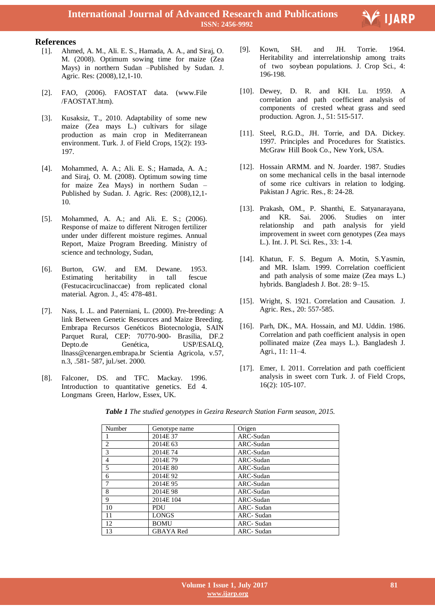



- [1]. Ahmed, A. M., Ali. E. S., Hamada, A. A., and Siraj, O. M. (2008). Optimum sowing time for maize (Zea Mays) in northern Sudan –Published by Sudan. J. Agric. Res: (2008),12,1-10.
- [2]. FAO, (2006). FAOSTAT data. (www.File /FAOSTAT.htm).
- [3]. Kusaksiz, T., 2010. Adaptability of some new maize (Zea mays L.) cultivars for silage production as main crop in Mediterranean environment. Turk. J. of Field Crops, 15(2): 193- 197.
- [4]. Mohammed, A. A.; Ali. E. S.; Hamada, A. A.; and Siraj, O. M. (2008). Optimum sowing time for maize Zea Mays) in northern Sudan – Published by Sudan. J. Agric. Res: (2008),12,1- 10.
- [5]. Mohammed, A. A.; and Ali. E. S.; (2006). Response of maize to different Nitrogen fertilizer under under different moisture regimes. Annual Report, Maize Program Breeding. Ministry of science and technology, Sudan,
- [6]. Burton, GW. and EM. Dewane. 1953. Estimating heritability in tall fescue (Festucacircuclinaccae) from replicated clonal material. Agron. J., 45: 478-481.
- [7]. Nass, L .L. and Paterniani, L. (2000). Pre-breeding: A link Between Genetic Resources and Maize Breeding. Embrapa Recursos Genéticos Biotecnologia, SAIN Parquet Rural, CEP: 70770-900- Brasília, DF.2 Depto.de Genética, USP/ESALQ, llnass@cenargen.embrapa.br Scientia Agricola, v.57, n.3, .581- 587, jul./set. 2000.
- [8]. Falconer, DS. and TFC. Mackay. 1996. Introduction to quantitative genetics. Ed 4. Longmans Green, Harlow, Essex, UK.

[9]. Kown, SH. and JH. Torrie. 1964. Heritability and interrelationship among traits of two soybean populations. J. Crop Sci., 4: 196-198.

F IJARP

- [10]. Dewey, D. R. and KH. Lu. 1959. A correlation and path coefficient analysis of components of crested wheat grass and seed production. Agron. J., 51: 515-517.
- [11]. Steel, R.G.D., JH. Torrie, and DA. Dickey. 1997. Principles and Procedures for Statistics. McGraw Hill Book Co., New York, USA.
- [12]. Hossain ARMM. and N. Joarder. 1987. Studies on some mechanical cells in the basal internode of some rice cultivars in relation to lodging. Pakistan J Agric. Res., 8: 24-28.
- [13]. Prakash, OM., P. Shanthi, E. Satyanarayana, and KR. Sai. 2006. Studies on inter relationship and path analysis for yield improvement in sweet corn genotypes (Zea mays L.). Int. J. Pl. Sci. Res., 33: 1-4.
- [14]. Khatun, F. S. Begum A. Motin, S.Yasmin, and MR. Islam. 1999. Correlation coefficient and path analysis of some maize (Zea mays L.) hybrids. Bangladesh J. Bot. 28: 9–15.
- [15]. Wright, S. 1921. Correlation and Causation. J. Agric. Res., 20: 557-585.
- [16]. Parh, DK., MA. Hossain, and MJ. Uddin. 1986. Correlation and path coefficient analysis in open pollinated maize (Zea mays L.). Bangladesh J. Agri., 11: 11–4.
- [17]. Emer, I. 2011. Correlation and path coefficient analysis in sweet corn Turk. J. of Field Crops, 16(2): 105-107.

| Number                      | Genotype name    | Origen           |
|-----------------------------|------------------|------------------|
|                             | 2014E 37         | ARC-Sudan        |
| $\mathcal{D}_{\mathcal{L}}$ | 2014E 63         | ARC-Sudan        |
| 3                           | 2014E 74         | ARC-Sudan        |
| $\overline{4}$              | 2014E79          | ARC-Sudan        |
| 5                           | 2014E 80         | ARC-Sudan        |
| 6                           | 2014E92          | ARC-Sudan        |
| 7                           | 2014E95          | ARC-Sudan        |
| 8                           | 2014E98          | ARC-Sudan        |
| 9                           | 2014E 104        | ARC-Sudan        |
| 10                          | PDU              | <b>ARC-Sudan</b> |
| 11                          | <b>LONGS</b>     | <b>ARC-Sudan</b> |
| 12                          | <b>BOMU</b>      | <b>ARC-Sudan</b> |
| 13                          | <b>GBAYA</b> Red | ARC- Sudan       |

*Table 1 The studied genotypes in Gezira Research Station Farm season, 2015.*